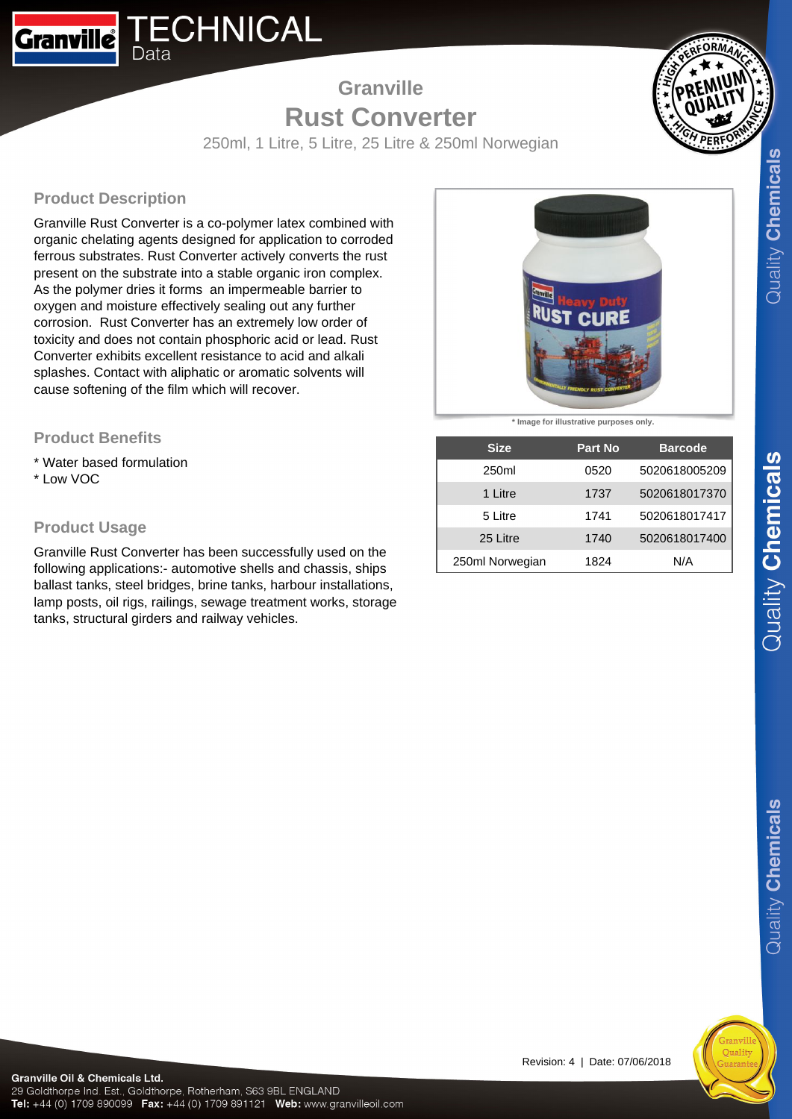

# **Granville Rust Converter**



250ml, 1 Litre, 5 Litre, 25 Litre & 250ml Norwegian

## **Product Description**

Granville Rust Converter is a co-polymer latex combined with organic chelating agents designed for application to corroded ferrous substrates. Rust Converter actively converts the rust present on the substrate into a stable organic iron complex. As the polymer dries it forms an impermeable barrier to oxygen and moisture effectively sealing out any further corrosion. Rust Converter has an extremely low order of toxicity and does not contain phosphoric acid or lead. Rust Converter exhibits excellent resistance to acid and alkali splashes. Contact with aliphatic or aromatic solvents will cause softening of the film which will recover.

### **Product Benefits**

\* Water based formulation \* Low VOC

## **Product Usage**

Granville Rust Converter has been successfully used on the following applications:- automotive shells and chassis, ships ballast tanks, steel bridges, brine tanks, harbour installations, lamp posts, oil rigs, railings, sewage treatment works, storage tanks, structural girders and railway vehicles.



**\* Image for illustrative purposes only.**

| <b>Size</b>       | <b>Part No</b> | <b>Barcode</b> |
|-------------------|----------------|----------------|
| 250 <sub>ml</sub> | 0520           | 5020618005209  |
| 1 Litre           | 1737           | 5020618017370  |
| 5 Litre           | 1741           | 5020618017417  |
| 25 Litre          | 1740           | 5020618017400  |
| 250ml Norwegian   | 1824           | N/A            |

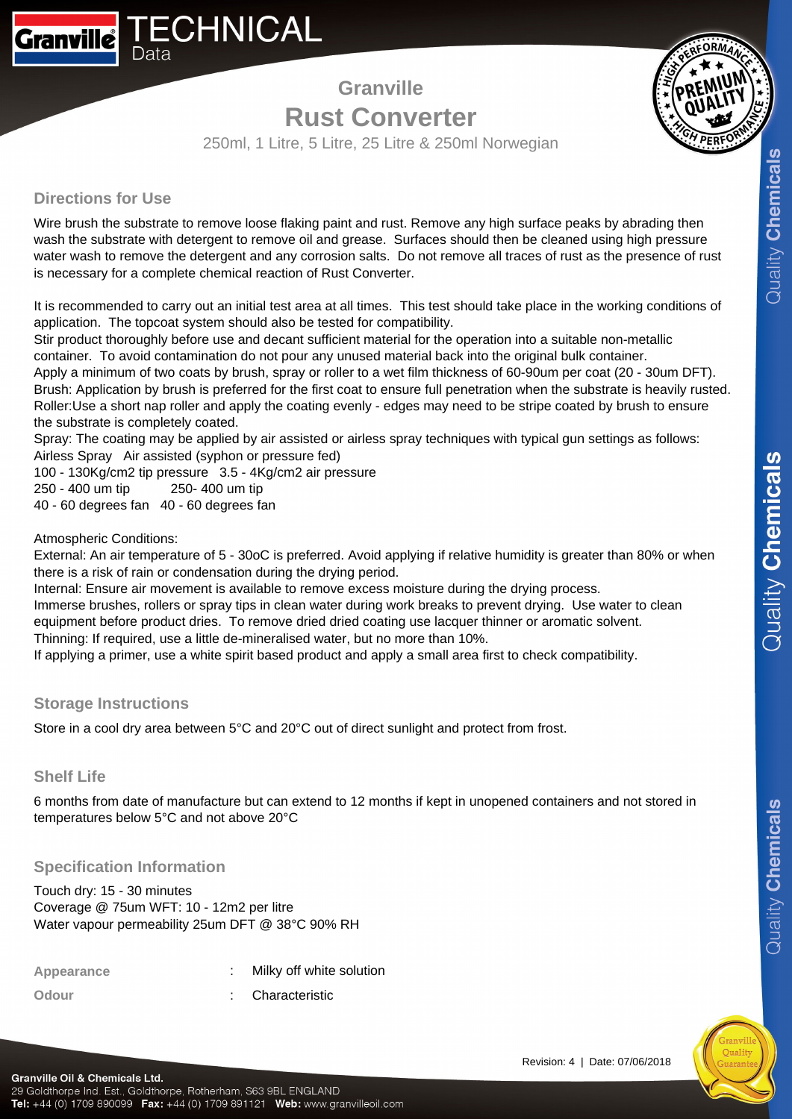# **Granville Rust Converter**



250ml, 1 Litre, 5 Litre, 25 Litre & 250ml Norwegian

#### **Directions for Use**

Wire brush the substrate to remove loose flaking paint and rust. Remove any high surface peaks by abrading then wash the substrate with detergent to remove oil and grease. Surfaces should then be cleaned using high pressure water wash to remove the detergent and any corrosion salts. Do not remove all traces of rust as the presence of rust is necessary for a complete chemical reaction of Rust Converter.

It is recommended to carry out an initial test area at all times. This test should take place in the working conditions of application. The topcoat system should also be tested for compatibility.

Stir product thoroughly before use and decant sufficient material for the operation into a suitable non-metallic container. To avoid contamination do not pour any unused material back into the original bulk container.

Apply a minimum of two coats by brush, spray or roller to a wet film thickness of 60-90um per coat (20 - 30um DFT). Brush: Application by brush is preferred for the first coat to ensure full penetration when the substrate is heavily rusted. Roller: Use a short nap roller and apply the coating evenly - edges may need to be stripe coated by brush to ensure the substrate is completely coated.

Spray: The coating may be applied by air assisted or airless spray techniques with typical gun settings as follows: Airless Spray Air assisted (syphon or pressure fed)

100 - 130Kg/cm2 tip pressure 3.5 - 4Kg/cm2 air pressure

250 - 400 um tip 250 - 400 um tip

40 - 60 degrees fan 40 - 60 degrees fan

Atmospheric Conditions:

External: An air temperature of 5 - 30oC is preferred. Avoid applying if relative humidity is greater than 80% or when there is a risk of rain or condensation during the drying period.

Internal: Ensure air movement is available to remove excess moisture during the drying process.

Immerse brushes, rollers or spray tips in clean water during work breaks to prevent drying. Use water to clean equipment before product dries. To remove dried dried coating use lacquer thinner or aromatic solvent. Thinning: If required, use a little de-mineralised water, but no more than 10%.

If applying a primer, use a white spirit based product and apply a small area first to check compatibility.

#### **Storage Instructions**

Store in a cool dry area between 5°C and 20°C out of direct sunlight and protect from frost.

#### **Shelf Life**

6 months from date of manufacture but can extend to 12 months if kept in unopened containers and not stored in temperatures below 5°C and not above 20°C

## **Specification Information**

Touch dry: 15 - 30 minutes Coverage @ 75um WFT: 10 - 12m2 per litre Water vapour permeability 25um DFT @ 38°C 90% RH

**Appearance** : Milky off white solution

**Odour** : Characteristic

Quality Chemicals